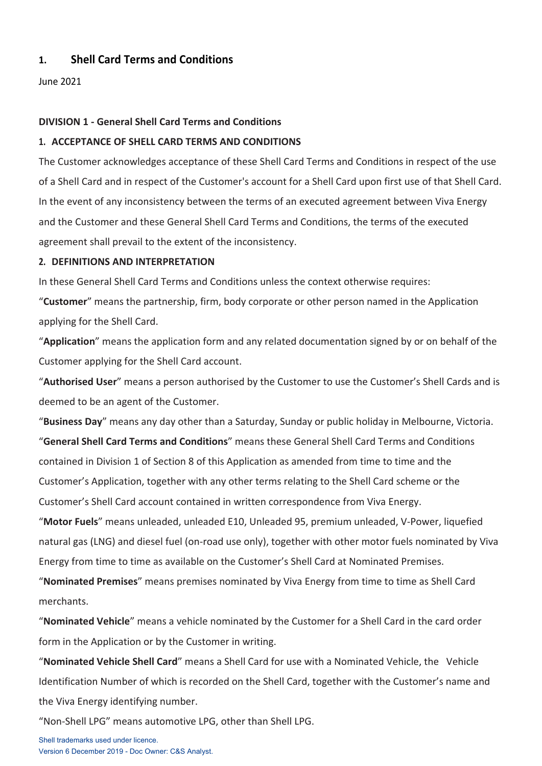# **1. Shell Card Terms and Conditions**

June 2021

# **DIVISION 1 - General Shell Card Terms and Conditions**

# **1. ACCEPTANCE OF SHELL CARD TERMS AND CONDITIONS**

The Customer acknowledges acceptance of these Shell Card Terms and Conditions in respect of the use of a Shell Card and in respect of the Customer's account for a Shell Card upon first use of that Shell Card. In the event of any inconsistency between the terms of an executed agreement between Viva Energy and the Customer and these General Shell Card Terms and Conditions, the terms of the executed agreement shall prevail to the extent of the inconsistency.

# **2. DEFINITIONS AND INTERPRETATION**

In these General Shell Card Terms and Conditions unless the context otherwise requires:

"**Customer**" means the partnership, firm, body corporate or other person named in the Application applying for the Shell Card.

"**Application**" means the application form and any related documentation signed by or on behalf of the Customer applying for the Shell Card account.

"**Authorised User**" means a person authorised by the Customer to use the Customer's Shell Cards and is deemed to be an agent of the Customer.

"**Business Day**" means any day other than a Saturday, Sunday or public holiday in Melbourne, Victoria.

"**General Shell Card Terms and Conditions**" means these General Shell Card Terms and Conditions contained in Division 1 of Section 8 of this Application as amended from time to time and the Customer's Application, together with any other terms relating to the Shell Card scheme or the Customer's Shell Card account contained in written correspondence from Viva Energy.

"**Motor Fuels**" means unleaded, unleaded E10, Unleaded 95, premium unleaded, V-Power, liquefied natural gas (LNG) and diesel fuel (on-road use only), together with other motor fuels nominated by Viva Energy from time to time as available on the Customer's Shell Card at Nominated Premises.

"**Nominated Premises**" means premises nominated by Viva Energy from time to time as Shell Card merchants.

"**Nominated Vehicle**" means a vehicle nominated by the Customer for a Shell Card in the card order form in the Application or by the Customer in writing.

"**Nominated Vehicle Shell Card**" means a Shell Card for use with a Nominated Vehicle, the Vehicle Identification Number of which is recorded on the Shell Card, together with the Customer's name and the Viva Energy identifying number.

"Non-Shell LPG" means automotive LPG, other than Shell LPG.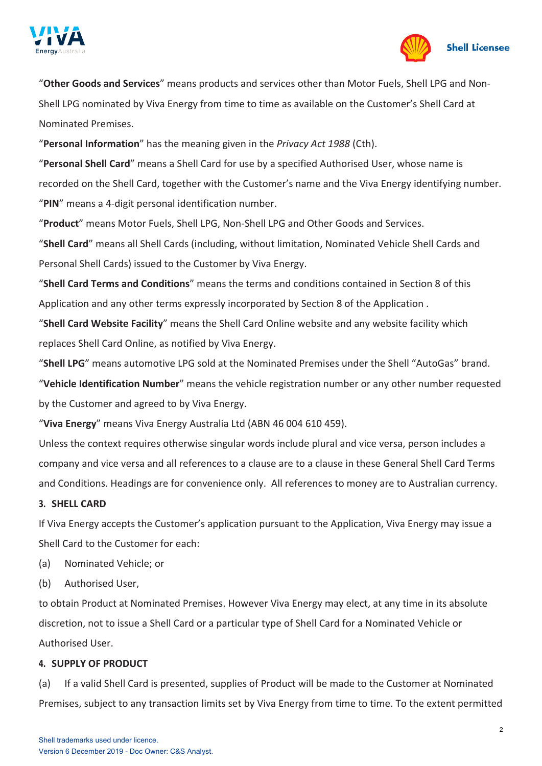



"**Other Goods and Services**" means products and services other than Motor Fuels, Shell LPG and Non-Shell LPG nominated by Viva Energy from time to time as available on the Customer's Shell Card at Nominated Premises.

"**Personal Information**" has the meaning given in the *Privacy Act 1988* (Cth).

"**Personal Shell Card**" means a Shell Card for use by a specified Authorised User, whose name is recorded on the Shell Card, together with the Customer's name and the Viva Energy identifying number. "**PIN**" means a 4-digit personal identification number.

"**Product**" means Motor Fuels, Shell LPG, Non-Shell LPG and Other Goods and Services.

"**Shell Card**" means all Shell Cards (including, without limitation, Nominated Vehicle Shell Cards and Personal Shell Cards) issued to the Customer by Viva Energy.

"**Shell Card Terms and Conditions**" means the terms and conditions contained in Section 8 of this Application and any other terms expressly incorporated by Section 8 of the Application .

"**Shell Card Website Facility**" means the Shell Card Online website and any website facility which replaces Shell Card Online, as notified by Viva Energy.

"**Shell LPG**" means automotive LPG sold at the Nominated Premises under the Shell "AutoGas" brand.

"**Vehicle Identification Number**" means the vehicle registration number or any other number requested by the Customer and agreed to by Viva Energy.

"**Viva Energy**" means Viva Energy Australia Ltd (ABN 46 004 610 459).

Unless the context requires otherwise singular words include plural and vice versa, person includes a company and vice versa and all references to a clause are to a clause in these General Shell Card Terms and Conditions. Headings are for convenience only. All references to money are to Australian currency.

# **3. SHELL CARD**

If Viva Energy accepts the Customer's application pursuant to the Application, Viva Energy may issue a Shell Card to the Customer for each:

- (a) Nominated Vehicle; or
- (b) Authorised User,

to obtain Product at Nominated Premises. However Viva Energy may elect, at any time in its absolute discretion, not to issue a Shell Card or a particular type of Shell Card for a Nominated Vehicle or Authorised User.

# **4. SUPPLY OF PRODUCT**

(a) If a valid Shell Card is presented, supplies of Product will be made to the Customer at Nominated Premises, subject to any transaction limits set by Viva Energy from time to time. To the extent permitted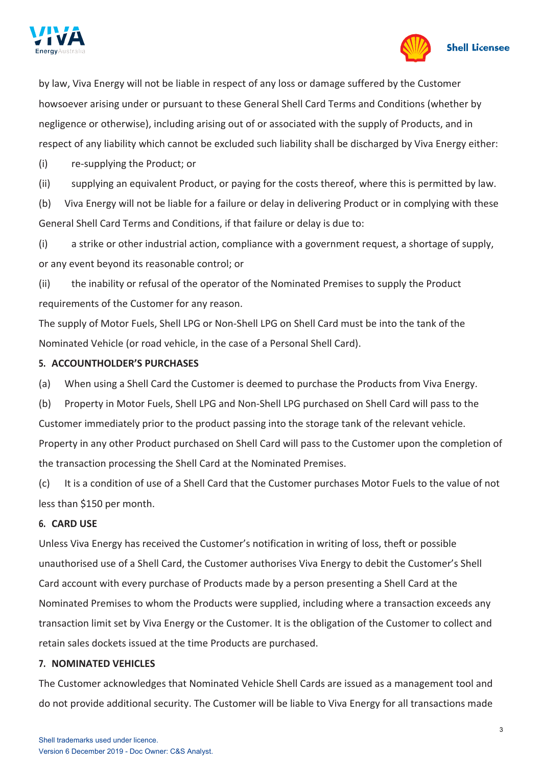



by law, Viva Energy will not be liable in respect of any loss or damage suffered by the Customer howsoever arising under or pursuant to these General Shell Card Terms and Conditions (whether by negligence or otherwise), including arising out of or associated with the supply of Products, and in respect of any liability which cannot be excluded such liability shall be discharged by Viva Energy either:

(i) re-supplying the Product; or

(ii) supplying an equivalent Product, or paying for the costs thereof, where this is permitted by law.

(b) Viva Energy will not be liable for a failure or delay in delivering Product or in complying with these General Shell Card Terms and Conditions, if that failure or delay is due to:

(i) a strike or other industrial action, compliance with a government request, a shortage of supply, or any event beyond its reasonable control; or

(ii) the inability or refusal of the operator of the Nominated Premises to supply the Product requirements of the Customer for any reason.

The supply of Motor Fuels, Shell LPG or Non-Shell LPG on Shell Card must be into the tank of the Nominated Vehicle (or road vehicle, in the case of a Personal Shell Card).

# **5. ACCOUNTHOLDER'S PURCHASES**

(a) When using a Shell Card the Customer is deemed to purchase the Products from Viva Energy.

(b) Property in Motor Fuels, Shell LPG and Non-Shell LPG purchased on Shell Card will pass to the Customer immediately prior to the product passing into the storage tank of the relevant vehicle. Property in any other Product purchased on Shell Card will pass to the Customer upon the completion of the transaction processing the Shell Card at the Nominated Premises.

(c) It is a condition of use of a Shell Card that the Customer purchases Motor Fuels to the value of not less than \$150 per month.

# **6. CARD USE**

Unless Viva Energy has received the Customer's notification in writing of loss, theft or possible unauthorised use of a Shell Card, the Customer authorises Viva Energy to debit the Customer's Shell Card account with every purchase of Products made by a person presenting a Shell Card at the Nominated Premises to whom the Products were supplied, including where a transaction exceeds any transaction limit set by Viva Energy or the Customer. It is the obligation of the Customer to collect and retain sales dockets issued at the time Products are purchased.

# **7. NOMINATED VEHICLES**

The Customer acknowledges that Nominated Vehicle Shell Cards are issued as a management tool and do not provide additional security. The Customer will be liable to Viva Energy for all transactions made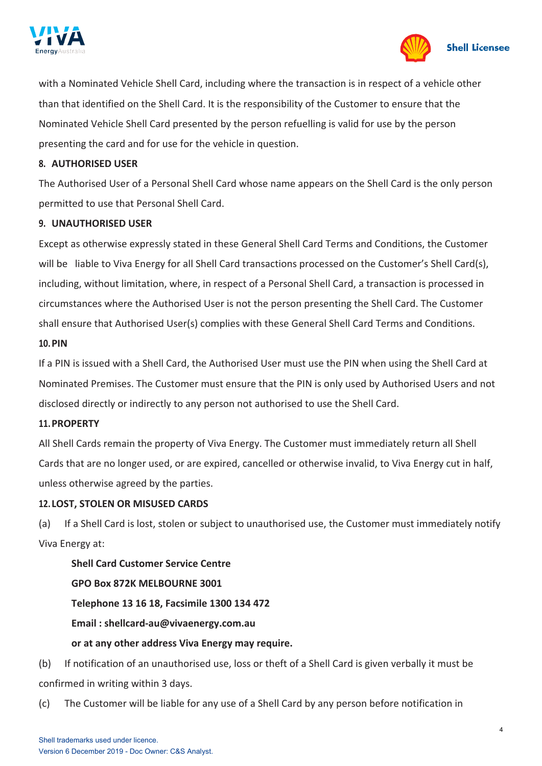



with a Nominated Vehicle Shell Card, including where the transaction is in respect of a vehicle other than that identified on the Shell Card. It is the responsibility of the Customer to ensure that the Nominated Vehicle Shell Card presented by the person refuelling is valid for use by the person presenting the card and for use for the vehicle in question.

### **8. AUTHORISED USER**

The Authorised User of a Personal Shell Card whose name appears on the Shell Card is the only person permitted to use that Personal Shell Card.

### **9. UNAUTHORISED USER**

Except as otherwise expressly stated in these General Shell Card Terms and Conditions, the Customer will be liable to Viva Energy for all Shell Card transactions processed on the Customer's Shell Card(s), including, without limitation, where, in respect of a Personal Shell Card, a transaction is processed in circumstances where the Authorised User is not the person presenting the Shell Card. The Customer shall ensure that Authorised User(s) complies with these General Shell Card Terms and Conditions.

#### **10.PIN**

If a PIN is issued with a Shell Card, the Authorised User must use the PIN when using the Shell Card at Nominated Premises. The Customer must ensure that the PIN is only used by Authorised Users and not disclosed directly or indirectly to any person not authorised to use the Shell Card.

#### **11.PROPERTY**

All Shell Cards remain the property of Viva Energy. The Customer must immediately return all Shell Cards that are no longer used, or are expired, cancelled or otherwise invalid, to Viva Energy cut in half, unless otherwise agreed by the parties.

### <span id="page-3-0"></span>**12. LOST, STOLEN OR MISUSED CARDS**

(a) If a Shell Card is lost, stolen or subject to unauthorised use, the Customer must immediately notify Viva Energy at:

**Shell Card Customer Service Centre GPO Box 872K MELBOURNE 3001 Telephone 13 16 18, Facsimile 1300 134 472 Email [: shellcard-au@vivaenergy.com.au](mailto:shellcard-au@vivaenergy.com.au) or at any other address Viva Energy may require.**

(b) If notification of an unauthorised use, loss or theft of a Shell Card is given verbally it must be confirmed in writing within 3 days.

(c) The Customer will be liable for any use of a Shell Card by any person before notification in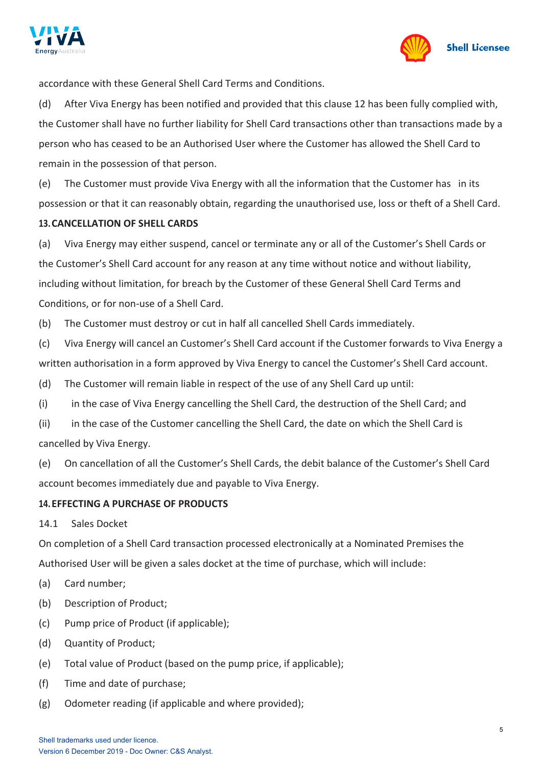



accordance with these General Shell Card Terms and Conditions.

(d) After Viva Energy has been notified and provided that this clause [12](#page-3-0) has been fully complied with, the Customer shall have no further liability for Shell Card transactions other than transactions made by a person who has ceased to be an Authorised User where the Customer has allowed the Shell Card to remain in the possession of that person.

(e) The Customer must provide Viva Energy with all the information that the Customer has in its possession or that it can reasonably obtain, regarding the unauthorised use, loss or theft of a Shell Card.

# **13.CANCELLATION OF SHELL CARDS**

(a) Viva Energy may either suspend, cancel or terminate any or all of the Customer's Shell Cards or the Customer's Shell Card account for any reason at any time without notice and without liability, including without limitation, for breach by the Customer of these General Shell Card Terms and Conditions, or for non-use of a Shell Card.

(b) The Customer must destroy or cut in half all cancelled Shell Cards immediately.

(c) Viva Energy will cancel an Customer's Shell Card account if the Customer forwards to Viva Energy a written authorisation in a form approved by Viva Energy to cancel the Customer's Shell Card account.

(d) The Customer will remain liable in respect of the use of any Shell Card up until:

(i) in the case of Viva Energy cancelling the Shell Card, the destruction of the Shell Card; and

(ii) in the case of the Customer cancelling the Shell Card, the date on which the Shell Card is cancelled by Viva Energy.

(e) On cancellation of all the Customer's Shell Cards, the debit balance of the Customer's Shell Card account becomes immediately due and payable to Viva Energy.

# **14.EFFECTING A PURCHASE OF PRODUCTS**

14.1 Sales Docket

On completion of a Shell Card transaction processed electronically at a Nominated Premises the Authorised User will be given a sales docket at the time of purchase, which will include:

- (a) Card number;
- (b) Description of Product;
- (c) Pump price of Product (if applicable);
- (d) Quantity of Product;
- (e) Total value of Product (based on the pump price, if applicable);
- (f) Time and date of purchase;
- (g) Odometer reading (if applicable and where provided);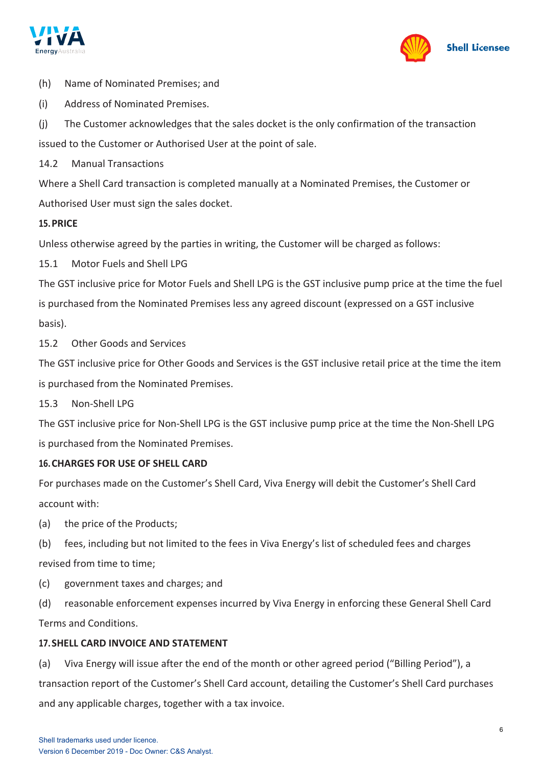



- (h) Name of Nominated Premises; and
- (i) Address of Nominated Premises.
- (j) The Customer acknowledges that the sales docket is the only confirmation of the transaction

issued to the Customer or Authorised User at the point of sale.

14.2 Manual Transactions

Where a Shell Card transaction is completed manually at a Nominated Premises, the Customer or Authorised User must sign the sales docket.

### **15.PRICE**

Unless otherwise agreed by the parties in writing, the Customer will be charged as follows:

15.1 Motor Fuels and Shell LPG

The GST inclusive price for Motor Fuels and Shell LPG is the GST inclusive pump price at the time the fuel is purchased from the Nominated Premises less any agreed discount (expressed on a GST inclusive basis).

15.2 Other Goods and Services

The GST inclusive price for Other Goods and Services is the GST inclusive retail price at the time the item is purchased from the Nominated Premises.

15.3 Non-Shell LPG

The GST inclusive price for Non-Shell LPG is the GST inclusive pump price at the time the Non-Shell LPG is purchased from the Nominated Premises.

### <span id="page-5-1"></span>**16.CHARGES FOR USE OF SHELL CARD**

For purchases made on the Customer's Shell Card, Viva Energy will debit the Customer's Shell Card account with:

- (a) the price of the Products;
- (b) fees, including but not limited to the fees in Viva Energy's list of scheduled fees and charges revised from time to time;
- (c) government taxes and charges; and
- (d) reasonable enforcement expenses incurred by Viva Energy in enforcing these General Shell Card Terms and Conditions.

### <span id="page-5-0"></span>**17.SHELL CARD INVOICE AND STATEMENT**

(a) Viva Energy will issue after the end of the month or other agreed period ("Billing Period"), a transaction report of the Customer's Shell Card account, detailing the Customer's Shell Card purchases and any applicable charges, together with a tax invoice.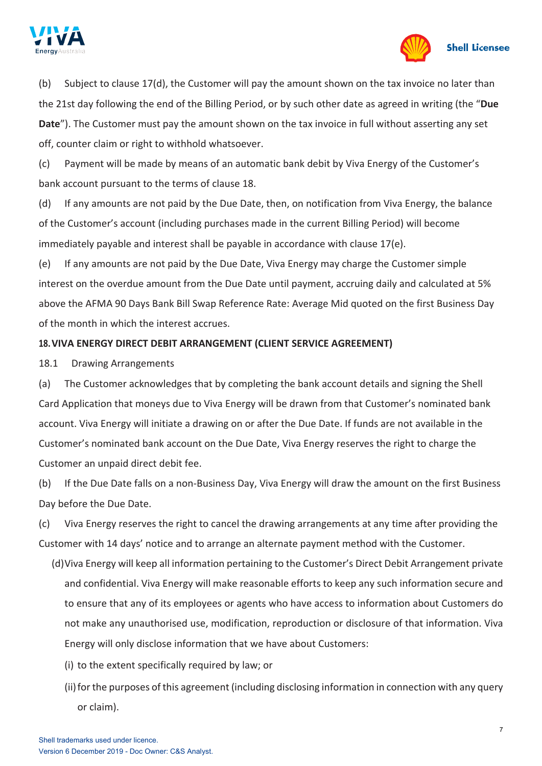



(b) Subject to clause [17\(d\),](#page-5-0) the Customer will pay the amount shown on the tax invoice no later than the 21st day following the end of the Billing Period, or by such other date as agreed in writing (the "**Due Date**"). The Customer must pay the amount shown on the tax invoice in full without asserting any set off, counter claim or right to withhold whatsoever.

(c) Payment will be made by means of an automatic bank debit by Viva Energy of the Customer's bank account pursuant to the terms of clause [18.](#page-6-0)

(d) If any amounts are not paid by the Due Date, then, on notification from Viva Energy, the balance of the Customer's account (including purchases made in the current Billing Period) will become immediately payable and interest shall be payable in accordance with clause [17\(e\).](#page-5-0)

(e) If any amounts are not paid by the Due Date, Viva Energy may charge the Customer simple interest on the overdue amount from the Due Date until payment, accruing daily and calculated at 5% above the AFMA 90 Days Bank Bill Swap Reference Rate: Average Mid quoted on the first Business Day of the month in which the interest accrues.

# <span id="page-6-0"></span>**18.VIVA ENERGY DIRECT DEBIT ARRANGEMENT (CLIENT SERVICE AGREEMENT)**

<span id="page-6-1"></span>18.1 Drawing Arrangements

(a) The Customer acknowledges that by completing the bank account details and signing the Shell Card Application that moneys due to Viva Energy will be drawn from that Customer's nominated bank account. Viva Energy will initiate a drawing on or after the Due Date. If funds are not available in the Customer's nominated bank account on the Due Date, Viva Energy reserves the right to charge the Customer an unpaid direct debit fee.

(b) If the Due Date falls on a non-Business Day, Viva Energy will draw the amount on the first Business Day before the Due Date.

(c) Viva Energy reserves the right to cancel the drawing arrangements at any time after providing the Customer with 14 days' notice and to arrange an alternate payment method with the Customer.

- (d)Viva Energy will keep all information pertaining to the Customer's Direct Debit Arrangement private and confidential. Viva Energy will make reasonable efforts to keep any such information secure and to ensure that any of its employees or agents who have access to information about Customers do not make any unauthorised use, modification, reproduction or disclosure of that information. Viva Energy will only disclose information that we have about Customers:
	- (i) to the extent specifically required by law; or
	- (ii)for the purposes of this agreement (including disclosing information in connection with any query or claim).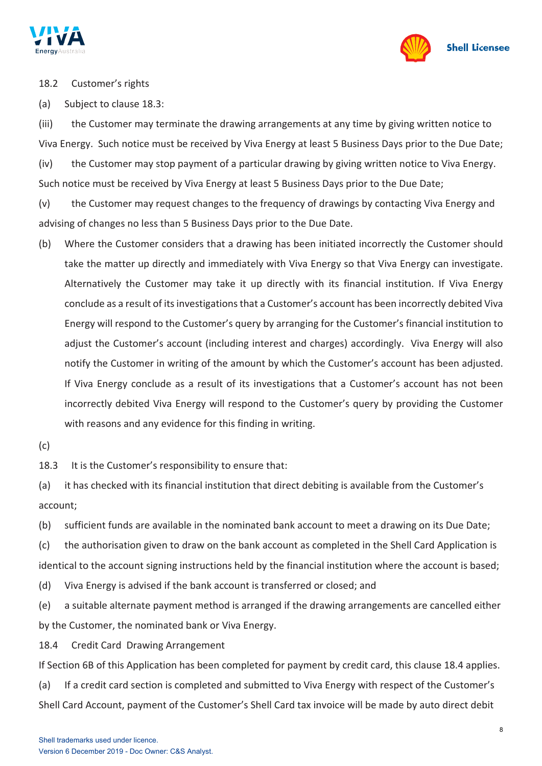



18.2 Customer's rights

(a) Subject to clause [18.3:](#page-7-0)

(iii) the Customer may terminate the drawing arrangements at any time by giving written notice to Viva Energy. Such notice must be received by Viva Energy at least 5 Business Days prior to the Due Date;

(iv) the Customer may stop payment of a particular drawing by giving written notice to Viva Energy. Such notice must be received by Viva Energy at least 5 Business Days prior to the Due Date;

(v) the Customer may request changes to the frequency of drawings by contacting Viva Energy and advising of changes no less than 5 Business Days prior to the Due Date.

- (b) Where the Customer considers that a drawing has been initiated incorrectly the Customer should take the matter up directly and immediately with Viva Energy so that Viva Energy can investigate. Alternatively the Customer may take it up directly with its financial institution. If Viva Energy conclude as a result of its investigations that a Customer's account has been incorrectly debited Viva Energy will respond to the Customer's query by arranging for the Customer's financial institution to adjust the Customer's account (including interest and charges) accordingly. Viva Energy will also notify the Customer in writing of the amount by which the Customer's account has been adjusted. If Viva Energy conclude as a result of its investigations that a Customer's account has not been incorrectly debited Viva Energy will respond to the Customer's query by providing the Customer with reasons and any evidence for this finding in writing.
- $(c)$

<span id="page-7-0"></span>18.3 It is the Customer's responsibility to ensure that:

(a) it has checked with its financial institution that direct debiting is available from the Customer's account;

(b) sufficient funds are available in the nominated bank account to meet a drawing on its Due Date;

(c) the authorisation given to draw on the bank account as completed in the Shell Card Application is identical to the account signing instructions held by the financial institution where the account is based;

(d) Viva Energy is advised if the bank account is transferred or closed; and

(e) a suitable alternate payment method is arranged if the drawing arrangements are cancelled either by the Customer, the nominated bank or Viva Energy.

18.4 Credit Card Drawing Arrangement

If Section 6B of this Application has been completed for payment by credit card, this clause 18.4 applies.

(a) If a credit card section is completed and submitted to Viva Energy with respect of the Customer's Shell Card Account, payment of the Customer's Shell Card tax invoice will be made by auto direct debit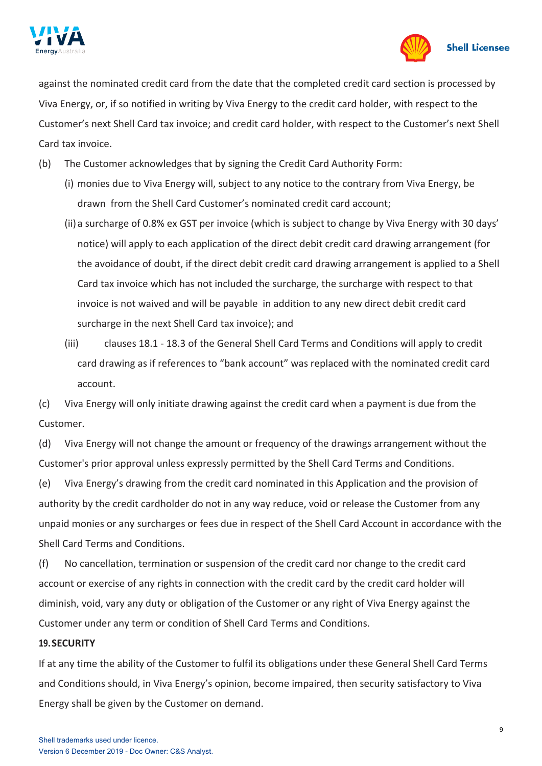



against the nominated credit card from the date that the completed credit card section is processed by Viva Energy, or, if so notified in writing by Viva Energy to the credit card holder, with respect to the Customer's next Shell Card tax invoice; and credit card holder, with respect to the Customer's next Shell Card tax invoice.

- (b) The Customer acknowledges that by signing the Credit Card Authority Form:
	- (i) monies due to Viva Energy will, subject to any notice to the contrary from Viva Energy, be drawn from the Shell Card Customer's nominated credit card account;
	- (ii) a surcharge of 0.8% ex GST per invoice (which is subject to change by Viva Energy with 30 days' notice) will apply to each application of the direct debit credit card drawing arrangement (for the avoidance of doubt, if the direct debit credit card drawing arrangement is applied to a Shell Card tax invoice which has not included the surcharge, the surcharge with respect to that invoice is not waived and will be payable in addition to any new direct debit credit card surcharge in the next Shell Card tax invoice); and
	- (iii) clauses [18.1](#page-6-1) [18.3](#page-7-0) of the General Shell Card Terms and Conditions will apply to credit card drawing as if references to "bank account" was replaced with the nominated credit card account.

(c) Viva Energy will only initiate drawing against the credit card when a payment is due from the Customer.

(d) Viva Energy will not change the amount or frequency of the drawings arrangement without the Customer's prior approval unless expressly permitted by the Shell Card Terms and Conditions.

(e) Viva Energy's drawing from the credit card nominated in this Application and the provision of authority by the credit cardholder do not in any way reduce, void or release the Customer from any unpaid monies or any surcharges or fees due in respect of the Shell Card Account in accordance with the Shell Card Terms and Conditions.

(f) No cancellation, termination or suspension of the credit card nor change to the credit card account or exercise of any rights in connection with the credit card by the credit card holder will diminish, void, vary any duty or obligation of the Customer or any right of Viva Energy against the Customer under any term or condition of Shell Card Terms and Conditions.

### **19.SECURITY**

If at any time the ability of the Customer to fulfil its obligations under these General Shell Card Terms and Conditions should, in Viva Energy's opinion, become impaired, then security satisfactory to Viva Energy shall be given by the Customer on demand.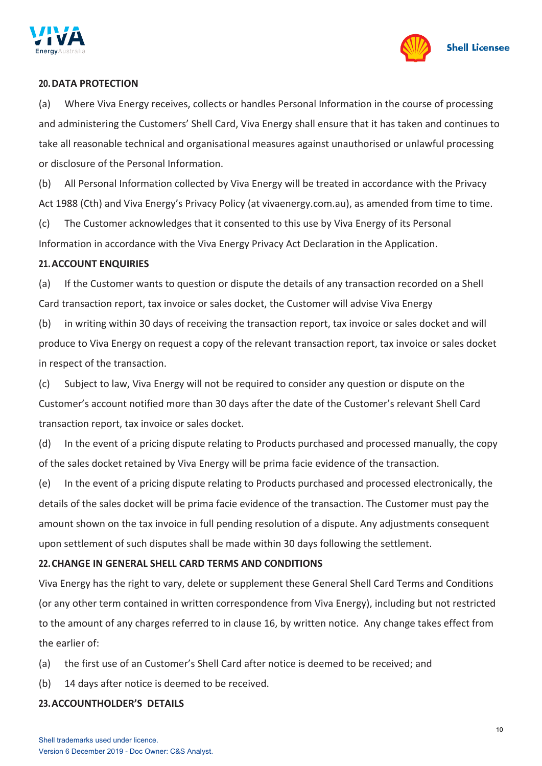



#### **20.DATA PROTECTION**

(a) Where Viva Energy receives, collects or handles Personal Information in the course of processing and administering the Customers' Shell Card, Viva Energy shall ensure that it has taken and continues to take all reasonable technical and organisational measures against unauthorised or unlawful processing or disclosure of the Personal Information.

(b) All Personal Information collected by Viva Energy will be treated in accordance with the Privacy Act 1988 (Cth) and Viva Energy's Privacy Policy (at vivaenergy.com.au), as amended from time to time.

(c) The Customer acknowledges that it consented to this use by Viva Energy of its Personal Information in accordance with the Viva Energy Privacy Act Declaration in the Application.

#### **21.ACCOUNT ENQUIRIES**

(a) If the Customer wants to question or dispute the details of any transaction recorded on a Shell Card transaction report, tax invoice or sales docket, the Customer will advise Viva Energy

(b) in writing within 30 days of receiving the transaction report, tax invoice or sales docket and will produce to Viva Energy on request a copy of the relevant transaction report, tax invoice or sales docket in respect of the transaction.

(c) Subject to law, Viva Energy will not be required to consider any question or dispute on the Customer's account notified more than 30 days after the date of the Customer's relevant Shell Card transaction report, tax invoice or sales docket.

(d) In the event of a pricing dispute relating to Products purchased and processed manually, the copy of the sales docket retained by Viva Energy will be prima facie evidence of the transaction.

(e) In the event of a pricing dispute relating to Products purchased and processed electronically, the details of the sales docket will be prima facie evidence of the transaction. The Customer must pay the amount shown on the tax invoice in full pending resolution of a dispute. Any adjustments consequent upon settlement of such disputes shall be made within 30 days following the settlement.

### **22.CHANGE IN GENERAL SHELL CARD TERMS AND CONDITIONS**

Viva Energy has the right to vary, delete or supplement these General Shell Card Terms and Conditions (or any other term contained in written correspondence from Viva Energy), including but not restricted to the amount of any charges referred to in clause [16,](#page-5-1) by written notice. Any change takes effect from the earlier of:

- (a) the first use of an Customer's Shell Card after notice is deemed to be received; and
- (b) 14 days after notice is deemed to be received.

### **23.ACCOUNTHOLDER'S DETAILS**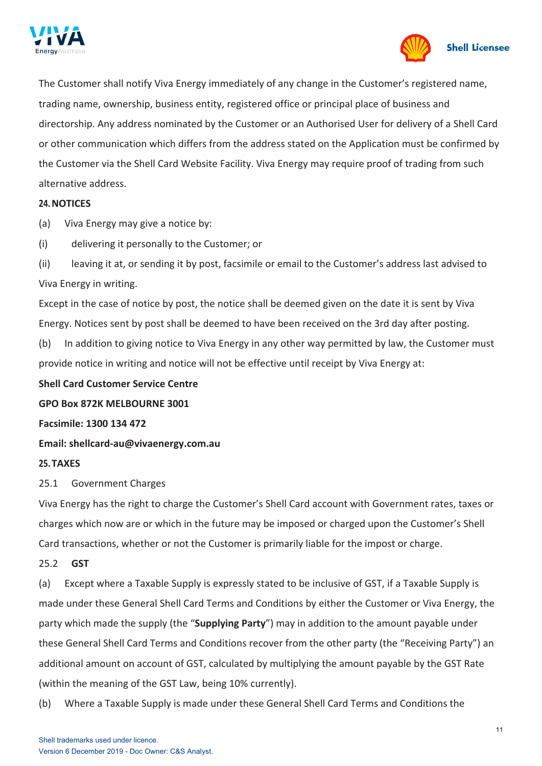



The Customer shall notify Viva Energy immediately of any change in the Customer's registered name, trading name, ownership, business entity, registered office or principal place of business and directorship. Any address nominated by the Customer or an Authorised User for delivery of a Shell Card or other communication which differs from the address stated on the Application must be confirmed by the Customer via the Shell Card Website Facility. Viva Energy may require proof of trading from such alternative address.

#### **24.NOTICES**

(a) Viva Energy may give a notice by:

(i) delivering it personally to the Customer; or

(ii) leaving it at, or sending it by post, facsimile or email to the Customer's address last advised to Viva Energy in writing.

Except in the case of notice by post, the notice shall be deemed given on the date it is sent by Viva Energy. Notices sent by post shall be deemed to have been received on the 3rd day after posting.

(b) In addition to giving notice to Viva Energy in any other way permitted by law, the Customer must provide notice in writing and notice will not be effective until receipt by Viva Energy at:

**Shell Card Customer Service Centre** 

**GPO Box 872K MELBOURNE 3001**

**Facsimile: 1300 134 472**

**Email: [shellcard-au@vivaenergy.com.au](mailto:shellcard-au@vivaenergy.com.au)**

### **25.TAXES**

25.1 Government Charges

Viva Energy has the right to charge the Customer's Shell Card account with Government rates, taxes or charges which now are or which in the future may be imposed or charged upon the Customer's Shell Card transactions, whether or not the Customer is primarily liable for the impost or charge.

### 25.2 **GST**

(a) Except where a Taxable Supply is expressly stated to be inclusive of GST, if a Taxable Supply is made under these General Shell Card Terms and Conditions by either the Customer or Viva Energy, the party which made the supply (the "**Supplying Party**") may in addition to the amount payable under these General Shell Card Terms and Conditions recover from the other party (the "Receiving Party") an additional amount on account of GST, calculated by multiplying the amount payable by the GST Rate (within the meaning of the GST Law, being 10% currently).

(b) Where a Taxable Supply is made under these General Shell Card Terms and Conditions the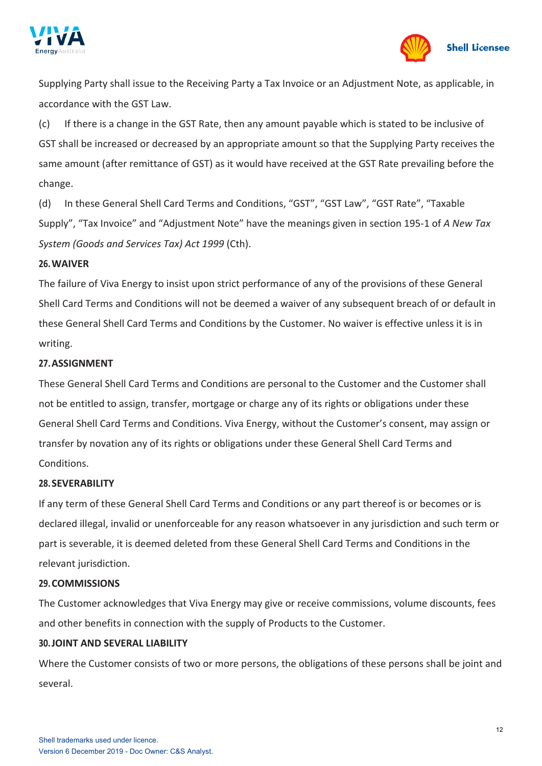



Supplying Party shall issue to the Receiving Party a Tax Invoice or an Adjustment Note, as applicable, in accordance with the GST Law.

(c) If there is a change in the GST Rate, then any amount payable which is stated to be inclusive of GST shall be increased or decreased by an appropriate amount so that the Supplying Party receives the same amount (after remittance of GST) as it would have received at the GST Rate prevailing before the change.

(d) In these General Shell Card Terms and Conditions, "GST", "GST Law", "GST Rate", "Taxable Supply", "Tax Invoice" and "Adjustment Note" have the meanings given in section 195-1 of *A New Tax System (Goods and Services Tax) Act 1999* (Cth).

### **26.WAIVER**

The failure of Viva Energy to insist upon strict performance of any of the provisions of these General Shell Card Terms and Conditions will not be deemed a waiver of any subsequent breach of or default in these General Shell Card Terms and Conditions by the Customer. No waiver is effective unless it is in writing.

### **27.ASSIGNMENT**

These General Shell Card Terms and Conditions are personal to the Customer and the Customer shall not be entitled to assign, transfer, mortgage or charge any of its rights or obligations under these General Shell Card Terms and Conditions. Viva Energy, without the Customer's consent, may assign or transfer by novation any of its rights or obligations under these General Shell Card Terms and Conditions.

### **28.SEVERABILITY**

If any term of these General Shell Card Terms and Conditions or any part thereof is or becomes or is declared illegal, invalid or unenforceable for any reason whatsoever in any jurisdiction and such term or part is severable, it is deemed deleted from these General Shell Card Terms and Conditions in the relevant jurisdiction.

### **29.COMMISSIONS**

The Customer acknowledges that Viva Energy may give or receive commissions, volume discounts, fees and other benefits in connection with the supply of Products to the Customer.

### **30.JOINT AND SEVERAL LIABILITY**

Where the Customer consists of two or more persons, the obligations of these persons shall be joint and several.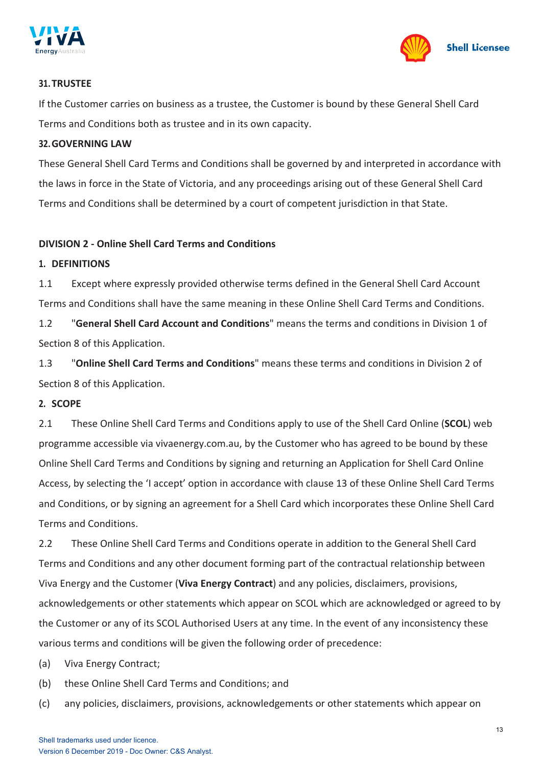



### **31.TRUSTEE**

If the Customer carries on business as a trustee, the Customer is bound by these General Shell Card Terms and Conditions both as trustee and in its own capacity.

### **32.GOVERNING LAW**

These General Shell Card Terms and Conditions shall be governed by and interpreted in accordance with the laws in force in the State of Victoria, and any proceedings arising out of these General Shell Card Terms and Conditions shall be determined by a court of competent jurisdiction in that State.

### **DIVISION 2 - Online Shell Card Terms and Conditions**

### **1. DEFINITIONS**

1.1 Except where expressly provided otherwise terms defined in the General Shell Card Account Terms and Conditions shall have the same meaning in these Online Shell Card Terms and Conditions.

1.2 "**General Shell Card Account and Conditions**" means the terms and conditions in Division 1 of Section 8 of this Application.

1.3 "**Online Shell Card Terms and Conditions**" means these terms and conditions in Division 2 of Section 8 of this Application.

### **2. SCOPE**

2.1 These Online Shell Card Terms and Conditions apply to use of the Shell Card Online (**SCOL**) web programme accessible via vivaenergy.com.au, by the Customer who has agreed to be bound by these Online Shell Card Terms and Conditions by signing and returning an Application for Shell Card Online Access, by selecting the 'I accept' option in accordance with clause [13](#page-17-0) of these Online Shell Card Terms and Conditions, or by signing an agreement for a Shell Card which incorporates these Online Shell Card Terms and Conditions.

2.2 These Online Shell Card Terms and Conditions operate in addition to the General Shell Card Terms and Conditions and any other document forming part of the contractual relationship between Viva Energy and the Customer (**Viva Energy Contract**) and any policies, disclaimers, provisions, acknowledgements or other statements which appear on SCOL which are acknowledged or agreed to by the Customer or any of its SCOL Authorised Users at any time. In the event of any inconsistency these various terms and conditions will be given the following order of precedence:

(a) Viva Energy Contract;

- (b) these Online Shell Card Terms and Conditions; and
- (c) any policies, disclaimers, provisions, acknowledgements or other statements which appear on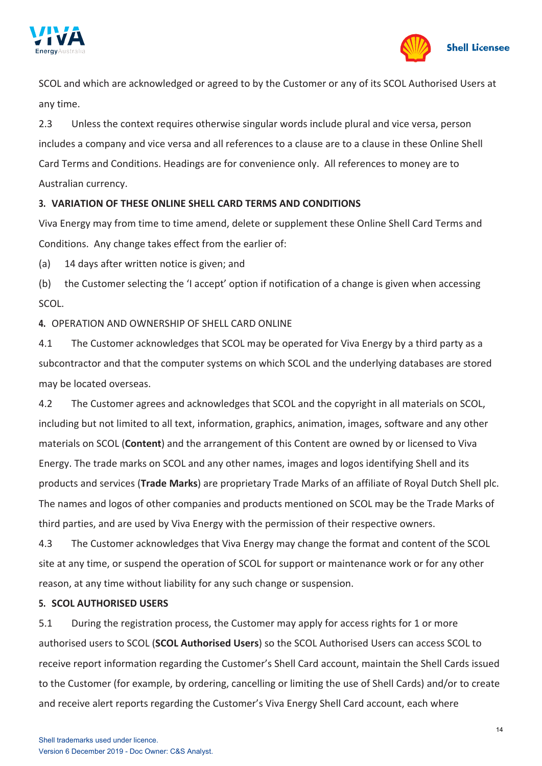



SCOL and which are acknowledged or agreed to by the Customer or any of its SCOL Authorised Users at any time.

2.3 Unless the context requires otherwise singular words include plural and vice versa, person includes a company and vice versa and all references to a clause are to a clause in these Online Shell Card Terms and Conditions. Headings are for convenience only. All references to money are to Australian currency.

# **3. VARIATION OF THESE ONLINE SHELL CARD TERMS AND CONDITIONS**

Viva Energy may from time to time amend, delete or supplement these Online Shell Card Terms and Conditions. Any change takes effect from the earlier of:

(a) 14 days after written notice is given; and

(b) the Customer selecting the 'I accept' option if notification of a change is given when accessing SCOL.

**4.** OPERATION AND OWNERSHIP OF SHELL CARD ONLINE

4.1 The Customer acknowledges that SCOL may be operated for Viva Energy by a third party as a subcontractor and that the computer systems on which SCOL and the underlying databases are stored may be located overseas.

4.2 The Customer agrees and acknowledges that SCOL and the copyright in all materials on SCOL, including but not limited to all text, information, graphics, animation, images, software and any other materials on SCOL (**Content**) and the arrangement of this Content are owned by or licensed to Viva Energy. The trade marks on SCOL and any other names, images and logos identifying Shell and its products and services (**Trade Marks**) are proprietary Trade Marks of an affiliate of Royal Dutch Shell plc. The names and logos of other companies and products mentioned on SCOL may be the Trade Marks of third parties, and are used by Viva Energy with the permission of their respective owners.

4.3 The Customer acknowledges that Viva Energy may change the format and content of the SCOL site at any time, or suspend the operation of SCOL for support or maintenance work or for any other reason, at any time without liability for any such change or suspension.

### **5. SCOL AUTHORISED USERS**

5.1 During the registration process, the Customer may apply for access rights for 1 or more authorised users to SCOL (**SCOL Authorised Users**) so the SCOL Authorised Users can access SCOL to receive report information regarding the Customer's Shell Card account, maintain the Shell Cards issued to the Customer (for example, by ordering, cancelling or limiting the use of Shell Cards) and/or to create and receive alert reports regarding the Customer's Viva Energy Shell Card account, each where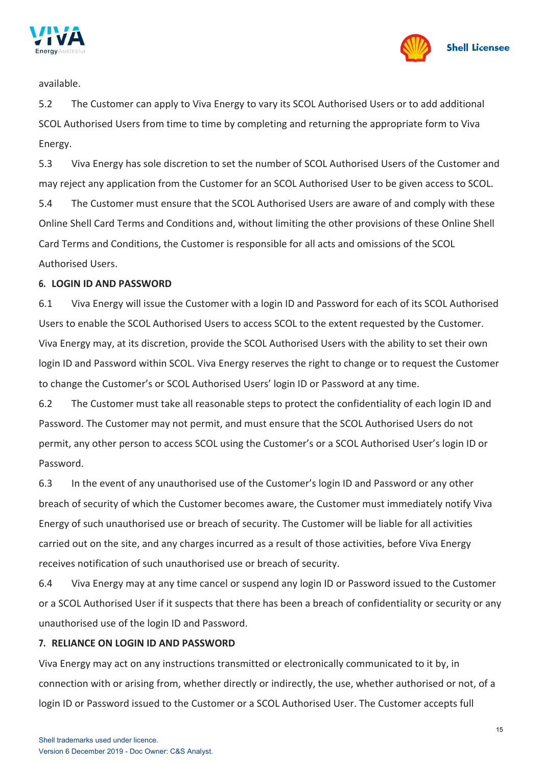



available.

5.2 The Customer can apply to Viva Energy to vary its SCOL Authorised Users or to add additional SCOL Authorised Users from time to time by completing and returning the appropriate form to Viva Energy.

5.3 Viva Energy has sole discretion to set the number of SCOL Authorised Users of the Customer and may reject any application from the Customer for an SCOL Authorised User to be given access to SCOL.

5.4 The Customer must ensure that the SCOL Authorised Users are aware of and comply with these Online Shell Card Terms and Conditions and, without limiting the other provisions of these Online Shell Card Terms and Conditions, the Customer is responsible for all acts and omissions of the SCOL Authorised Users.

### **6. LOGIN ID AND PASSWORD**

6.1 Viva Energy will issue the Customer with a login ID and Password for each of its SCOL Authorised Users to enable the SCOL Authorised Users to access SCOL to the extent requested by the Customer. Viva Energy may, at its discretion, provide the SCOL Authorised Users with the ability to set their own login ID and Password within SCOL. Viva Energy reserves the right to change or to request the Customer to change the Customer's or SCOL Authorised Users' login ID or Password at any time.

6.2 The Customer must take all reasonable steps to protect the confidentiality of each login ID and Password. The Customer may not permit, and must ensure that the SCOL Authorised Users do not permit, any other person to access SCOL using the Customer's or a SCOL Authorised User's login ID or Password.

6.3 In the event of any unauthorised use of the Customer's login ID and Password or any other breach of security of which the Customer becomes aware, the Customer must immediately notify Viva Energy of such unauthorised use or breach of security. The Customer will be liable for all activities carried out on the site, and any charges incurred as a result of those activities, before Viva Energy receives notification of such unauthorised use or breach of security.

6.4 Viva Energy may at any time cancel or suspend any login ID or Password issued to the Customer or a SCOL Authorised User if it suspects that there has been a breach of confidentiality or security or any unauthorised use of the login ID and Password.

### **7. RELIANCE ON LOGIN ID AND PASSWORD**

Viva Energy may act on any instructions transmitted or electronically communicated to it by, in connection with or arising from, whether directly or indirectly, the use, whether authorised or not, of a login ID or Password issued to the Customer or a SCOL Authorised User. The Customer accepts full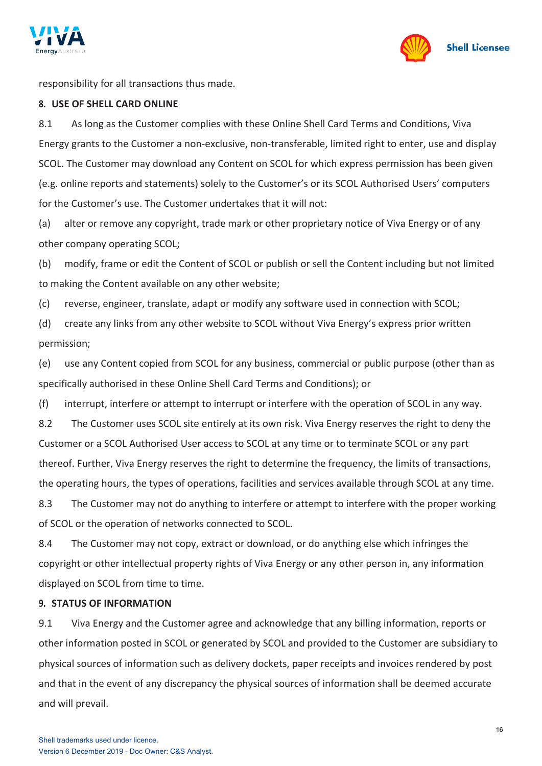



responsibility for all transactions thus made.

### **8. USE OF SHELL CARD ONLINE**

8.1 As long as the Customer complies with these Online Shell Card Terms and Conditions, Viva Energy grants to the Customer a non-exclusive, non-transferable, limited right to enter, use and display SCOL. The Customer may download any Content on SCOL for which express permission has been given (e.g. online reports and statements) solely to the Customer's or its SCOL Authorised Users' computers for the Customer's use. The Customer undertakes that it will not:

(a) alter or remove any copyright, trade mark or other proprietary notice of Viva Energy or of any other company operating SCOL;

(b) modify, frame or edit the Content of SCOL or publish or sell the Content including but not limited to making the Content available on any other website;

(c) reverse, engineer, translate, adapt or modify any software used in connection with SCOL;

(d) create any links from any other website to SCOL without Viva Energy's express prior written permission;

(e) use any Content copied from SCOL for any business, commercial or public purpose (other than as specifically authorised in these Online Shell Card Terms and Conditions); or

(f) interrupt, interfere or attempt to interrupt or interfere with the operation of SCOL in any way.

8.2 The Customer uses SCOL site entirely at its own risk. Viva Energy reserves the right to deny the Customer or a SCOL Authorised User access to SCOL at any time or to terminate SCOL or any part thereof. Further, Viva Energy reserves the right to determine the frequency, the limits of transactions, the operating hours, the types of operations, facilities and services available through SCOL at any time.

8.3 The Customer may not do anything to interfere or attempt to interfere with the proper working of SCOL or the operation of networks connected to SCOL.

8.4 The Customer may not copy, extract or download, or do anything else which infringes the copyright or other intellectual property rights of Viva Energy or any other person in, any information displayed on SCOL from time to time.

### **9. STATUS OF INFORMATION**

9.1 Viva Energy and the Customer agree and acknowledge that any billing information, reports or other information posted in SCOL or generated by SCOL and provided to the Customer are subsidiary to physical sources of information such as delivery dockets, paper receipts and invoices rendered by post and that in the event of any discrepancy the physical sources of information shall be deemed accurate and will prevail.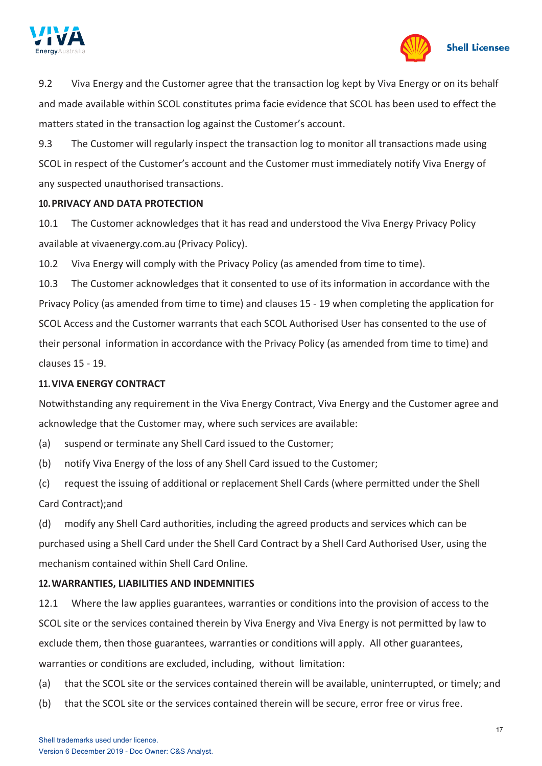



9.2 Viva Energy and the Customer agree that the transaction log kept by Viva Energy or on its behalf and made available within SCOL constitutes prima facie evidence that SCOL has been used to effect the matters stated in the transaction log against the Customer's account.

9.3 The Customer will regularly inspect the transaction log to monitor all transactions made using SCOL in respect of the Customer's account and the Customer must immediately notify Viva Energy of any suspected unauthorised transactions.

### **10.PRIVACY AND DATA PROTECTION**

10.1 The Customer acknowledges that it has read and understood the Viva Energy Privacy Policy available at vivaenergy.com.au (Privacy Policy).

10.2 Viva Energy will comply with the Privacy Policy (as amended from time to time).

10.3 The Customer acknowledges that it consented to use of its information in accordance with the Privacy Policy (as amended from time to time) and clauses [15](#page-18-0) - [19](#page-19-0) when completing the application for SCOL Access and the Customer warrants that each SCOL Authorised User has consented to the use of their personal information in accordance with the Privacy Policy (as amended from time to time) and clauses [15](#page-18-0) - [19.](#page-19-0)

### **11.VIVA ENERGY CONTRACT**

Notwithstanding any requirement in the Viva Energy Contract, Viva Energy and the Customer agree and acknowledge that the Customer may, where such services are available:

- (a) suspend or terminate any Shell Card issued to the Customer;
- (b) notify Viva Energy of the loss of any Shell Card issued to the Customer;
- (c) request the issuing of additional or replacement Shell Cards (where permitted under the Shell Card Contract);and

(d) modify any Shell Card authorities, including the agreed products and services which can be purchased using a Shell Card under the Shell Card Contract by a Shell Card Authorised User, using the mechanism contained within Shell Card Online.

# **12.WARRANTIES, LIABILITIES AND INDEMNITIES**

12.1 Where the law applies guarantees, warranties or conditions into the provision of access to the SCOL site or the services contained therein by Viva Energy and Viva Energy is not permitted by law to exclude them, then those guarantees, warranties or conditions will apply. All other guarantees, warranties or conditions are excluded, including, without limitation:

- (a) that the SCOL site or the services contained therein will be available, uninterrupted, or timely; and
- (b) that the SCOL site or the services contained therein will be secure, error free or virus free.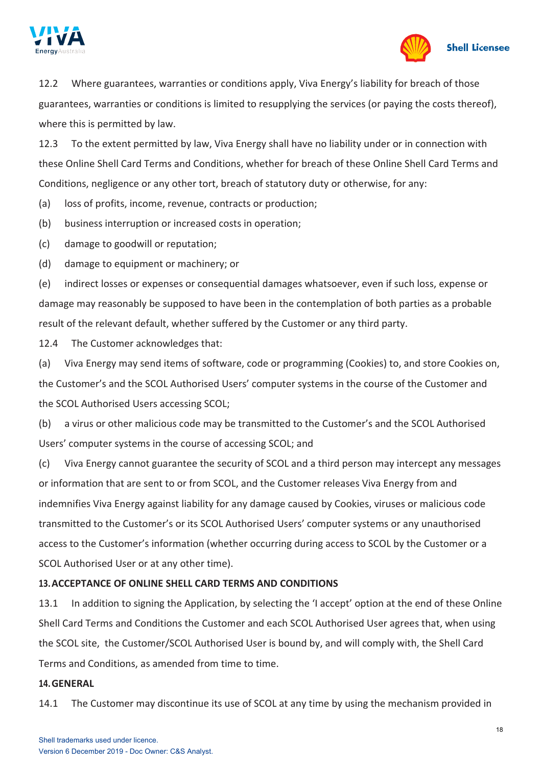



12.2 Where guarantees, warranties or conditions apply, Viva Energy's liability for breach of those guarantees, warranties or conditions is limited to resupplying the services (or paying the costs thereof), where this is permitted by law.

12.3 To the extent permitted by law, Viva Energy shall have no liability under or in connection with these Online Shell Card Terms and Conditions, whether for breach of these Online Shell Card Terms and Conditions, negligence or any other tort, breach of statutory duty or otherwise, for any:

(a) loss of profits, income, revenue, contracts or production;

(b) business interruption or increased costs in operation;

(c) damage to goodwill or reputation;

(d) damage to equipment or machinery; or

(e) indirect losses or expenses or consequential damages whatsoever, even if such loss, expense or damage may reasonably be supposed to have been in the contemplation of both parties as a probable result of the relevant default, whether suffered by the Customer or any third party.

12.4 The Customer acknowledges that:

(a) Viva Energy may send items of software, code or programming (Cookies) to, and store Cookies on, the Customer's and the SCOL Authorised Users' computer systems in the course of the Customer and the SCOL Authorised Users accessing SCOL;

(b) a virus or other malicious code may be transmitted to the Customer's and the SCOL Authorised Users' computer systems in the course of accessing SCOL; and

(c) Viva Energy cannot guarantee the security of SCOL and a third person may intercept any messages or information that are sent to or from SCOL, and the Customer releases Viva Energy from and indemnifies Viva Energy against liability for any damage caused by Cookies, viruses or malicious code transmitted to the Customer's or its SCOL Authorised Users' computer systems or any unauthorised access to the Customer's information (whether occurring during access to SCOL by the Customer or a SCOL Authorised User or at any other time).

### <span id="page-17-0"></span>**13.ACCEPTANCE OF ONLINE SHELL CARD TERMS AND CONDITIONS**

13.1 In addition to signing the Application, by selecting the 'I accept' option at the end of these Online Shell Card Terms and Conditions the Customer and each SCOL Authorised User agrees that, when using the SCOL site, the Customer/SCOL Authorised User is bound by, and will comply with, the Shell Card Terms and Conditions, as amended from time to time.

#### **14.GENERAL**

14.1 The Customer may discontinue its use of SCOL at any time by using the mechanism provided in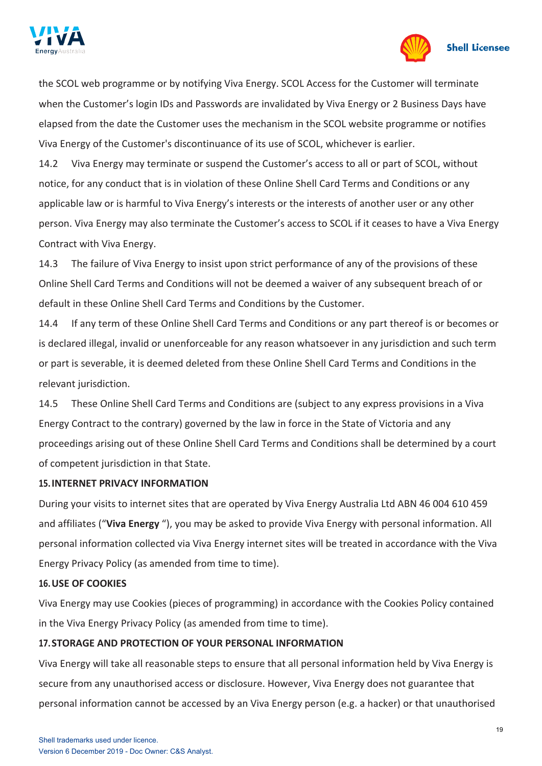



the SCOL web programme or by notifying Viva Energy. SCOL Access for the Customer will terminate when the Customer's login IDs and Passwords are invalidated by Viva Energy or 2 Business Days have elapsed from the date the Customer uses the mechanism in the SCOL website programme or notifies Viva Energy of the Customer's discontinuance of its use of SCOL, whichever is earlier.

14.2 Viva Energy may terminate or suspend the Customer's access to all or part of SCOL, without notice, for any conduct that is in violation of these Online Shell Card Terms and Conditions or any applicable law or is harmful to Viva Energy's interests or the interests of another user or any other person. Viva Energy may also terminate the Customer's access to SCOL if it ceases to have a Viva Energy Contract with Viva Energy.

14.3 The failure of Viva Energy to insist upon strict performance of any of the provisions of these Online Shell Card Terms and Conditions will not be deemed a waiver of any subsequent breach of or default in these Online Shell Card Terms and Conditions by the Customer.

14.4 If any term of these Online Shell Card Terms and Conditions or any part thereof is or becomes or is declared illegal, invalid or unenforceable for any reason whatsoever in any jurisdiction and such term or part is severable, it is deemed deleted from these Online Shell Card Terms and Conditions in the relevant jurisdiction.

14.5 These Online Shell Card Terms and Conditions are (subject to any express provisions in a Viva Energy Contract to the contrary) governed by the law in force in the State of Victoria and any proceedings arising out of these Online Shell Card Terms and Conditions shall be determined by a court of competent jurisdiction in that State.

### <span id="page-18-0"></span>**15.INTERNET PRIVACY INFORMATION**

During your visits to internet sites that are operated by Viva Energy Australia Ltd ABN 46 004 610 459 and affiliates ("**Viva Energy** "), you may be asked to provide Viva Energy with personal information. All personal information collected via Viva Energy internet sites will be treated in accordance with the Viva Energy Privacy Policy (as amended from time to time).

### **16.USE OF COOKIES**

Viva Energy may use Cookies (pieces of programming) in accordance with the Cookies Policy contained in the Viva Energy Privacy Policy (as amended from time to time).

# **17.STORAGE AND PROTECTION OF YOUR PERSONAL INFORMATION**

Viva Energy will take all reasonable steps to ensure that all personal information held by Viva Energy is secure from any unauthorised access or disclosure. However, Viva Energy does not guarantee that personal information cannot be accessed by an Viva Energy person (e.g. a hacker) or that unauthorised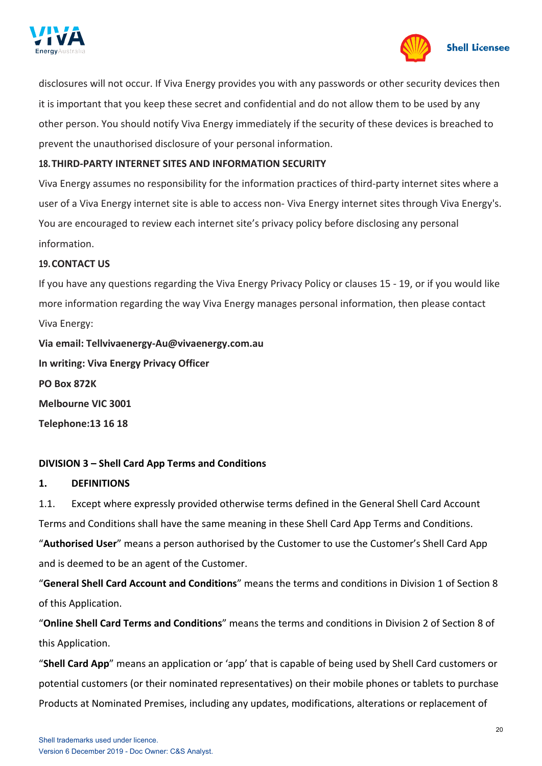



disclosures will not occur. If Viva Energy provides you with any passwords or other security devices then it is important that you keep these secret and confidential and do not allow them to be used by any other person. You should notify Viva Energy immediately if the security of these devices is breached to prevent the unauthorised disclosure of your personal information.

### **18.THIRD-PARTY INTERNET SITES AND INFORMATION SECURITY**

Viva Energy assumes no responsibility for the information practices of third-party internet sites where a user of a Viva Energy internet site is able to access non- Viva Energy internet sites through Viva Energy's. You are encouraged to review each internet site's privacy policy before disclosing any personal information.

### <span id="page-19-0"></span>**19.CONTACT US**

If you have any questions regarding the Viva Energy Privacy Policy or clauses [15](#page-18-0) - [19,](#page-19-0) or if you would like more information regarding the way Viva Energy manages personal information, then please contact Viva Energy:

**Via email: [Tellvivaenergy-Au@vivaenergy.com.au](mailto:Tellvivaenergy-Au@vivaenergy.com.au) In writing: Viva Energy Privacy Officer PO Box 872K Melbourne VIC 3001 Telephone:13 16 18**

# **DIVISION 3 – Shell Card App Terms and Conditions**

### **1. DEFINITIONS**

1.1. Except where expressly provided otherwise terms defined in the General Shell Card Account Terms and Conditions shall have the same meaning in these Shell Card App Terms and Conditions.

"**Authorised User**" means a person authorised by the Customer to use the Customer's Shell Card App and is deemed to be an agent of the Customer.

"**General Shell Card Account and Conditions**" means the terms and conditions in Division 1 of Section 8 of this Application.

"**Online Shell Card Terms and Conditions**" means the terms and conditions in Division 2 of Section 8 of this Application.

"**Shell Card App**" means an application or 'app' that is capable of being used by Shell Card customers or potential customers (or their nominated representatives) on their mobile phones or tablets to purchase Products at Nominated Premises, including any updates, modifications, alterations or replacement of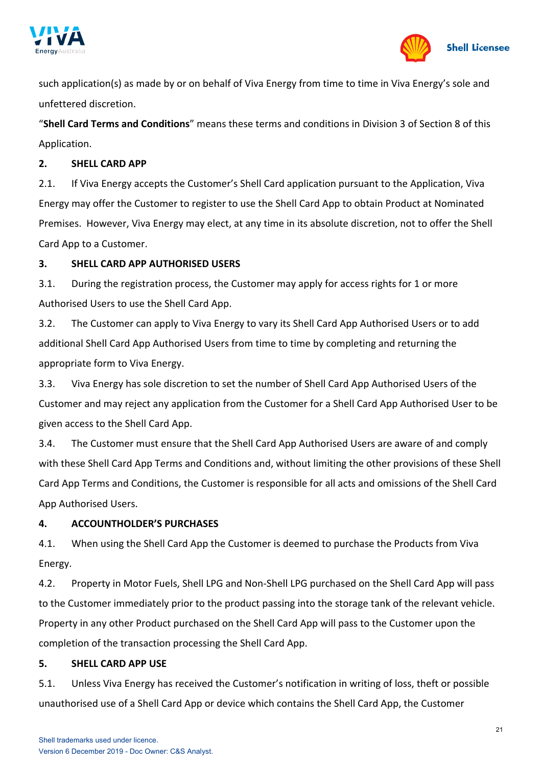



such application(s) as made by or on behalf of Viva Energy from time to time in Viva Energy's sole and unfettered discretion.

"**Shell Card Terms and Conditions**" means these terms and conditions in Division 3 of Section 8 of this Application.

### **2. SHELL CARD APP**

2.1. If Viva Energy accepts the Customer's Shell Card application pursuant to the Application, Viva Energy may offer the Customer to register to use the Shell Card App to obtain Product at Nominated Premises. However, Viva Energy may elect, at any time in its absolute discretion, not to offer the Shell Card App to a Customer.

# **3. SHELL CARD APP AUTHORISED USERS**

3.1. During the registration process, the Customer may apply for access rights for 1 or more Authorised Users to use the Shell Card App.

3.2. The Customer can apply to Viva Energy to vary its Shell Card App Authorised Users or to add additional Shell Card App Authorised Users from time to time by completing and returning the appropriate form to Viva Energy.

3.3. Viva Energy has sole discretion to set the number of Shell Card App Authorised Users of the Customer and may reject any application from the Customer for a Shell Card App Authorised User to be given access to the Shell Card App.

3.4. The Customer must ensure that the Shell Card App Authorised Users are aware of and comply with these Shell Card App Terms and Conditions and, without limiting the other provisions of these Shell Card App Terms and Conditions, the Customer is responsible for all acts and omissions of the Shell Card App Authorised Users.

# **4. ACCOUNTHOLDER'S PURCHASES**

4.1. When using the Shell Card App the Customer is deemed to purchase the Products from Viva Energy.

4.2. Property in Motor Fuels, Shell LPG and Non-Shell LPG purchased on the Shell Card App will pass to the Customer immediately prior to the product passing into the storage tank of the relevant vehicle. Property in any other Product purchased on the Shell Card App will pass to the Customer upon the completion of the transaction processing the Shell Card App.

# **5. SHELL CARD APP USE**

5.1. Unless Viva Energy has received the Customer's notification in writing of loss, theft or possible unauthorised use of a Shell Card App or device which contains the Shell Card App, the Customer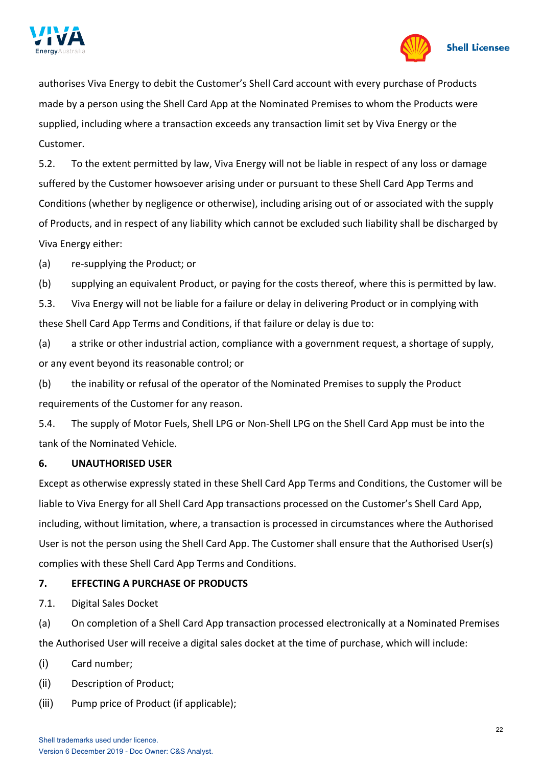



authorises Viva Energy to debit the Customer's Shell Card account with every purchase of Products made by a person using the Shell Card App at the Nominated Premises to whom the Products were supplied, including where a transaction exceeds any transaction limit set by Viva Energy or the Customer.

5.2. To the extent permitted by law, Viva Energy will not be liable in respect of any loss or damage suffered by the Customer howsoever arising under or pursuant to these Shell Card App Terms and Conditions (whether by negligence or otherwise), including arising out of or associated with the supply of Products, and in respect of any liability which cannot be excluded such liability shall be discharged by Viva Energy either:

(a) re-supplying the Product; or

(b) supplying an equivalent Product, or paying for the costs thereof, where this is permitted by law.

5.3. Viva Energy will not be liable for a failure or delay in delivering Product or in complying with these Shell Card App Terms and Conditions, if that failure or delay is due to:

(a) a strike or other industrial action, compliance with a government request, a shortage of supply, or any event beyond its reasonable control; or

(b) the inability or refusal of the operator of the Nominated Premises to supply the Product requirements of the Customer for any reason.

5.4. The supply of Motor Fuels, Shell LPG or Non-Shell LPG on the Shell Card App must be into the tank of the Nominated Vehicle.

### **6. UNAUTHORISED USER**

Except as otherwise expressly stated in these Shell Card App Terms and Conditions, the Customer will be liable to Viva Energy for all Shell Card App transactions processed on the Customer's Shell Card App, including, without limitation, where, a transaction is processed in circumstances where the Authorised User is not the person using the Shell Card App. The Customer shall ensure that the Authorised User(s) complies with these Shell Card App Terms and Conditions.

# **7. EFFECTING A PURCHASE OF PRODUCTS**

7.1. Digital Sales Docket

(a) On completion of a Shell Card App transaction processed electronically at a Nominated Premises the Authorised User will receive a digital sales docket at the time of purchase, which will include:

- (i) Card number;
- (ii) Description of Product;
- (iii) Pump price of Product (if applicable);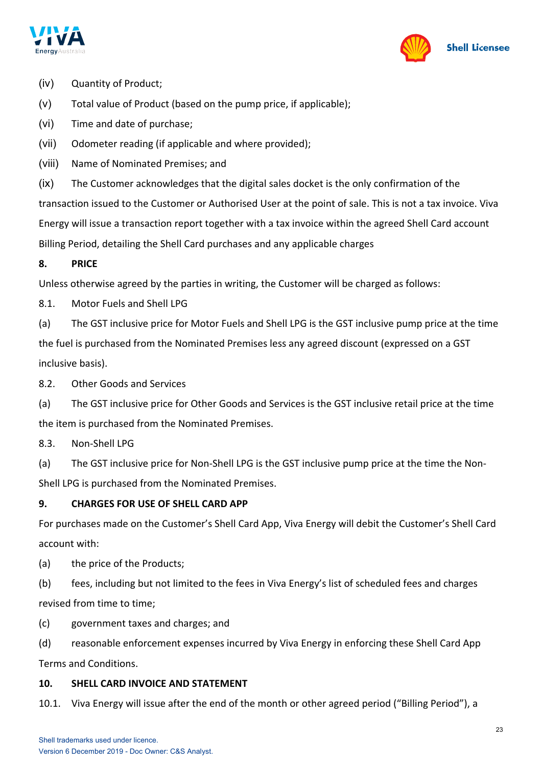



- (iv) Quantity of Product;
- (v) Total value of Product (based on the pump price, if applicable);
- (vi) Time and date of purchase;
- (vii) Odometer reading (if applicable and where provided);
- (viii) Name of Nominated Premises; and

(ix) The Customer acknowledges that the digital sales docket is the only confirmation of the transaction issued to the Customer or Authorised User at the point of sale. This is not a tax invoice. Viva Energy will issue a transaction report together with a tax invoice within the agreed Shell Card account Billing Period, detailing the Shell Card purchases and any applicable charges

### **8. PRICE**

Unless otherwise agreed by the parties in writing, the Customer will be charged as follows:

8.1. Motor Fuels and Shell LPG

(a) The GST inclusive price for Motor Fuels and Shell LPG is the GST inclusive pump price at the time the fuel is purchased from the Nominated Premises less any agreed discount (expressed on a GST inclusive basis).

8.2. Other Goods and Services

(a) The GST inclusive price for Other Goods and Services is the GST inclusive retail price at the time the item is purchased from the Nominated Premises.

8.3. Non-Shell LPG

(a) The GST inclusive price for Non-Shell LPG is the GST inclusive pump price at the time the Non-Shell LPG is purchased from the Nominated Premises.

### **9. CHARGES FOR USE OF SHELL CARD APP**

For purchases made on the Customer's Shell Card App, Viva Energy will debit the Customer's Shell Card account with:

- (a) the price of the Products;
- (b) fees, including but not limited to the fees in Viva Energy's list of scheduled fees and charges revised from time to time;
- (c) government taxes and charges; and
- (d) reasonable enforcement expenses incurred by Viva Energy in enforcing these Shell Card App Terms and Conditions.

### **10. SHELL CARD INVOICE AND STATEMENT**

10.1. Viva Energy will issue after the end of the month or other agreed period ("Billing Period"), a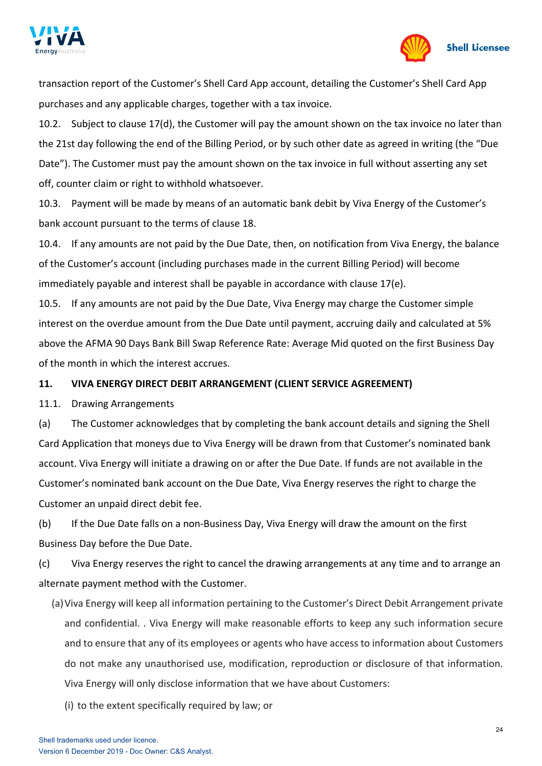



transaction report of the Customer's Shell Card App account, detailing the Customer's Shell Card App purchases and any applicable charges, together with a tax invoice.

10.2. Subject to clause 17(d), the Customer will pay the amount shown on the tax invoice no later than the 21st day following the end of the Billing Period, or by such other date as agreed in writing (the "Due Date"). The Customer must pay the amount shown on the tax invoice in full without asserting any set off, counter claim or right to withhold whatsoever.

10.3. Payment will be made by means of an automatic bank debit by Viva Energy of the Customer's bank account pursuant to the terms of clause 18.

10.4. If any amounts are not paid by the Due Date, then, on notification from Viva Energy, the balance of the Customer's account (including purchases made in the current Billing Period) will become immediately payable and interest shall be payable in accordance with clause 17(e).

10.5. If any amounts are not paid by the Due Date, Viva Energy may charge the Customer simple interest on the overdue amount from the Due Date until payment, accruing daily and calculated at 5% above the AFMA 90 Days Bank Bill Swap Reference Rate: Average Mid quoted on the first Business Day of the month in which the interest accrues.

# **11. VIVA ENERGY DIRECT DEBIT ARRANGEMENT (CLIENT SERVICE AGREEMENT)**

11.1. Drawing Arrangements

(a) The Customer acknowledges that by completing the bank account details and signing the Shell Card Application that moneys due to Viva Energy will be drawn from that Customer's nominated bank account. Viva Energy will initiate a drawing on or after the Due Date. If funds are not available in the Customer's nominated bank account on the Due Date, Viva Energy reserves the right to charge the Customer an unpaid direct debit fee.

(b) If the Due Date falls on a non-Business Day, Viva Energy will draw the amount on the first Business Day before the Due Date.

(c) Viva Energy reserves the right to cancel the drawing arrangements at any time and to arrange an alternate payment method with the Customer.

(a)Viva Energy will keep all information pertaining to the Customer's Direct Debit Arrangement private and confidential. . Viva Energy will make reasonable efforts to keep any such information secure and to ensure that any of its employees or agents who have access to information about Customers do not make any unauthorised use, modification, reproduction or disclosure of that information. Viva Energy will only disclose information that we have about Customers:

(i) to the extent specifically required by law; or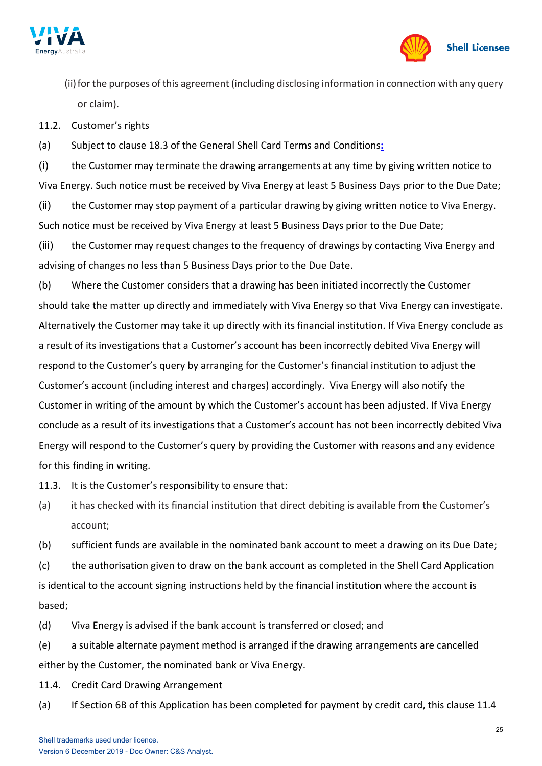



(ii) for the purposes of this agreement (including disclosing information in connection with any query or claim).

11.2. Customer's rights

(a) Subject to clause 18.3 of the General Shell Card Terms and Conditions**:**

(i) the Customer may terminate the drawing arrangements at any time by giving written notice to Viva Energy. Such notice must be received by Viva Energy at least 5 Business Days prior to the Due Date;

(ii) the Customer may stop payment of a particular drawing by giving written notice to Viva Energy. Such notice must be received by Viva Energy at least 5 Business Days prior to the Due Date;

(iii) the Customer may request changes to the frequency of drawings by contacting Viva Energy and advising of changes no less than 5 Business Days prior to the Due Date.

(b) Where the Customer considers that a drawing has been initiated incorrectly the Customer should take the matter up directly and immediately with Viva Energy so that Viva Energy can investigate. Alternatively the Customer may take it up directly with its financial institution. If Viva Energy conclude as a result of its investigations that a Customer's account has been incorrectly debited Viva Energy will respond to the Customer's query by arranging for the Customer's financial institution to adjust the Customer's account (including interest and charges) accordingly. Viva Energy will also notify the Customer in writing of the amount by which the Customer's account has been adjusted. If Viva Energy conclude as a result of its investigations that a Customer's account has not been incorrectly debited Viva Energy will respond to the Customer's query by providing the Customer with reasons and any evidence for this finding in writing.

11.3. It is the Customer's responsibility to ensure that:

(a) it has checked with its financial institution that direct debiting is available from the Customer's account;

(b) sufficient funds are available in the nominated bank account to meet a drawing on its Due Date;

(c) the authorisation given to draw on the bank account as completed in the Shell Card Application is identical to the account signing instructions held by the financial institution where the account is based;

(d) Viva Energy is advised if the bank account is transferred or closed; and

(e) a suitable alternate payment method is arranged if the drawing arrangements are cancelled either by the Customer, the nominated bank or Viva Energy.

11.4. Credit Card Drawing Arrangement

(a) If Section 6B of this Application has been completed for payment by credit card, this clause 11.4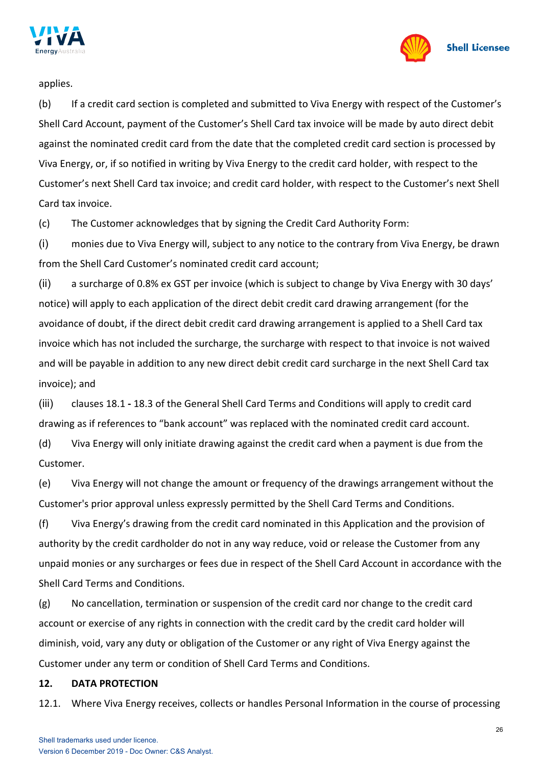



applies.

(b) If a credit card section is completed and submitted to Viva Energy with respect of the Customer's Shell Card Account, payment of the Customer's Shell Card tax invoice will be made by auto direct debit against the nominated credit card from the date that the completed credit card section is processed by Viva Energy, or, if so notified in writing by Viva Energy to the credit card holder, with respect to the Customer's next Shell Card tax invoice; and credit card holder, with respect to the Customer's next Shell Card tax invoice.

(c) The Customer acknowledges that by signing the Credit Card Authority Form:

(i) monies due to Viva Energy will, subject to any notice to the contrary from Viva Energy, be drawn from the Shell Card Customer's nominated credit card account;

(ii) a surcharge of 0.8% ex GST per invoice (which is subject to change by Viva Energy with 30 days' notice) will apply to each application of the direct debit credit card drawing arrangement (for the avoidance of doubt, if the direct debit credit card drawing arrangement is applied to a Shell Card tax invoice which has not included the surcharge, the surcharge with respect to that invoice is not waived and will be payable in addition to any new direct debit credit card surcharge in the next Shell Card tax invoice); and

(iii) clauses 18.1 **-** 18.3 of the General Shell Card Terms and Conditions will apply to credit card drawing as if references to "bank account" was replaced with the nominated credit card account.

(d) Viva Energy will only initiate drawing against the credit card when a payment is due from the Customer.

(e) Viva Energy will not change the amount or frequency of the drawings arrangement without the Customer's prior approval unless expressly permitted by the Shell Card Terms and Conditions.

(f) Viva Energy's drawing from the credit card nominated in this Application and the provision of authority by the credit cardholder do not in any way reduce, void or release the Customer from any unpaid monies or any surcharges or fees due in respect of the Shell Card Account in accordance with the Shell Card Terms and Conditions.

(g) No cancellation, termination or suspension of the credit card nor change to the credit card account or exercise of any rights in connection with the credit card by the credit card holder will diminish, void, vary any duty or obligation of the Customer or any right of Viva Energy against the Customer under any term or condition of Shell Card Terms and Conditions.

#### **12. DATA PROTECTION**

12.1. Where Viva Energy receives, collects or handles Personal Information in the course of processing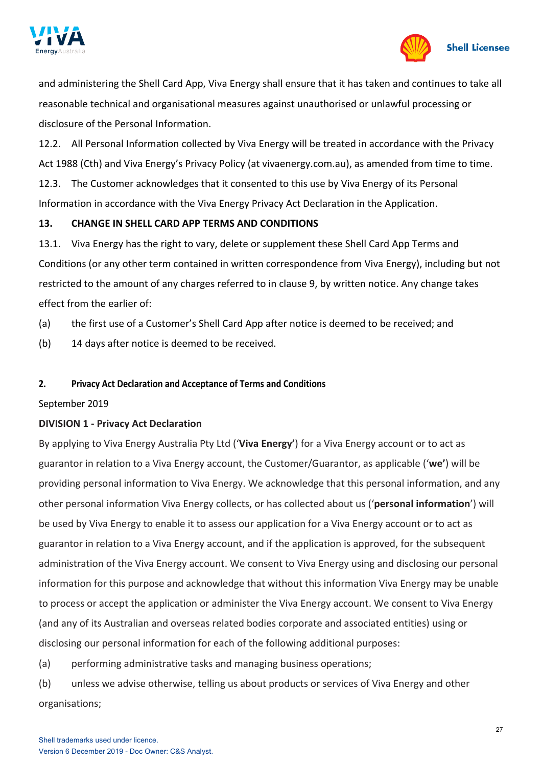



and administering the Shell Card App, Viva Energy shall ensure that it has taken and continues to take all reasonable technical and organisational measures against unauthorised or unlawful processing or disclosure of the Personal Information.

12.2. All Personal Information collected by Viva Energy will be treated in accordance with the Privacy Act 1988 (Cth) and Viva Energy's Privacy Policy (at vivaenergy.com.au), as amended from time to time. 12.3. The Customer acknowledges that it consented to this use by Viva Energy of its Personal Information in accordance with the Viva Energy Privacy Act Declaration in the Application.

# **13. CHANGE IN SHELL CARD APP TERMS AND CONDITIONS**

13.1. Viva Energy has the right to vary, delete or supplement these Shell Card App Terms and Conditions (or any other term contained in written correspondence from Viva Energy), including but not restricted to the amount of any charges referred to in clause 9, by written notice. Any change takes effect from the earlier of:

- (a) the first use of a Customer's Shell Card App after notice is deemed to be received; and
- (b) 14 days after notice is deemed to be received.

# **2. Privacy Act Declaration and Acceptance of Terms and Conditions**

# September 2019

# **DIVISION 1 - Privacy Act Declaration**

By applying to Viva Energy Australia Pty Ltd ('**Viva Energy'**) for a Viva Energy account or to act as guarantor in relation to a Viva Energy account, the Customer/Guarantor, as applicable ('**we'**) will be providing personal information to Viva Energy. We acknowledge that this personal information, and any other personal information Viva Energy collects, or has collected about us ('**personal information**') will be used by Viva Energy to enable it to assess our application for a Viva Energy account or to act as guarantor in relation to a Viva Energy account, and if the application is approved, for the subsequent administration of the Viva Energy account. We consent to Viva Energy using and disclosing our personal information for this purpose and acknowledge that without this information Viva Energy may be unable to process or accept the application or administer the Viva Energy account. We consent to Viva Energy (and any of its Australian and overseas related bodies corporate and associated entities) using or disclosing our personal information for each of the following additional purposes:

- (a) performing administrative tasks and managing business operations;
- (b) unless we advise otherwise, telling us about products or services of Viva Energy and other organisations;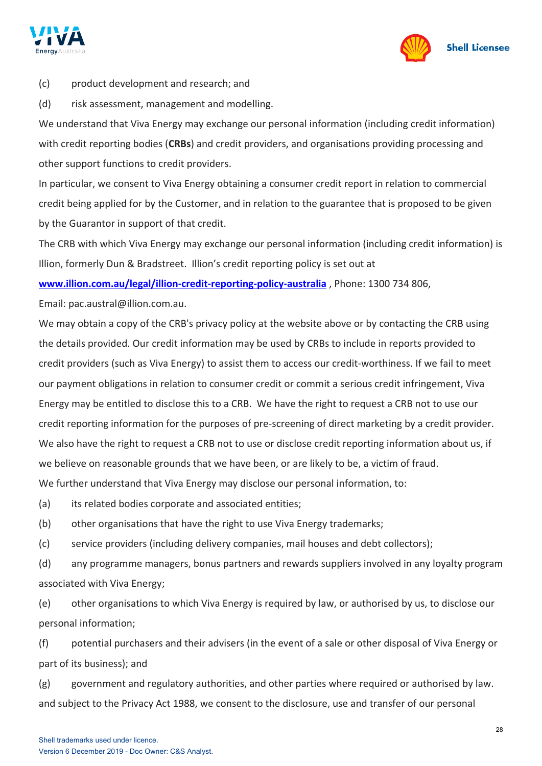



(c) product development and research; and

(d) risk assessment, management and modelling.

We understand that Viva Energy may exchange our personal information (including credit information) with credit reporting bodies (**CRBs**) and credit providers, and organisations providing processing and other support functions to credit providers.

In particular, we consent to Viva Energy obtaining a consumer credit report in relation to commercial credit being applied for by the Customer, and in relation to the guarantee that is proposed to be given by the Guarantor in support of that credit.

The CRB with which Viva Energy may exchange our personal information (including credit information) is Illion, formerly Dun & Bradstreet. Illion's credit reporting policy is set out at

**[www.illion.com.au/legal/illion-credit-reporting-policy-australia](http://www.illion.com.au/legal/illion-credit-reporting-policy-australia)** , Phone: 1300 734 806,

Email: pac.austral@illion.com.au.

We may obtain a copy of the CRB's privacy policy at the website above or by contacting the CRB using the details provided. Our credit information may be used by CRBs to include in reports provided to credit providers (such as Viva Energy) to assist them to access our credit-worthiness. If we fail to meet our payment obligations in relation to consumer credit or commit a serious credit infringement, Viva Energy may be entitled to disclose this to a CRB. We have the right to request a CRB not to use our credit reporting information for the purposes of pre-screening of direct marketing by a credit provider. We also have the right to request a CRB not to use or disclose credit reporting information about us, if we believe on reasonable grounds that we have been, or are likely to be, a victim of fraud. We further understand that Viva Energy may disclose our personal information, to:

(a) its related bodies corporate and associated entities;

(b) other organisations that have the right to use Viva Energy trademarks;

(c) service providers (including delivery companies, mail houses and debt collectors);

(d) any programme managers, bonus partners and rewards suppliers involved in any loyalty program associated with Viva Energy;

(e) other organisations to which Viva Energy is required by law, or authorised by us, to disclose our personal information;

(f) potential purchasers and their advisers (in the event of a sale or other disposal of Viva Energy or part of its business); and

(g) government and regulatory authorities, and other parties where required or authorised by law. and subject to the Privacy Act 1988, we consent to the disclosure, use and transfer of our personal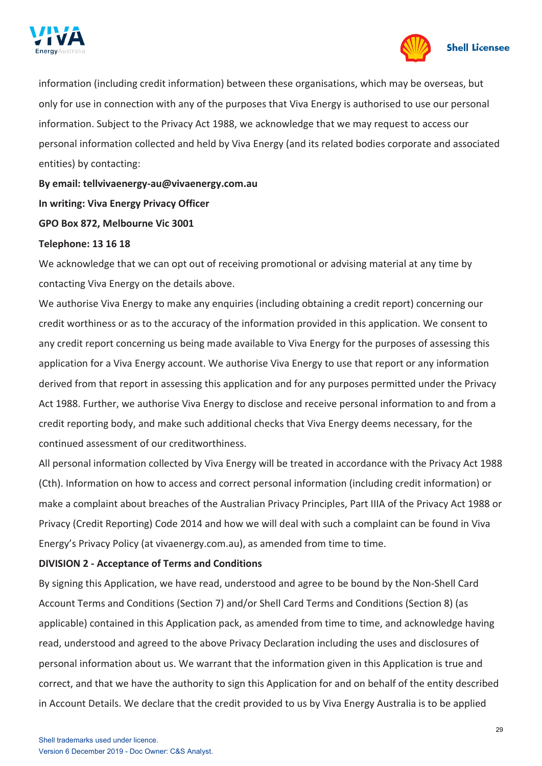



information (including credit information) between these organisations, which may be overseas, but only for use in connection with any of the purposes that Viva Energy is authorised to use our personal information. Subject to the Privacy Act 1988, we acknowledge that we may request to access our personal information collected and held by Viva Energy (and its related bodies corporate and associated entities) by contacting:

**By email: [tellvivaenergy-au@vivaenergy.com.au](mailto:tellvivaenergy-au@vivaenergy.com.au) In writing: Viva Energy Privacy Officer GPO Box 872, Melbourne Vic 3001**

#### **Telephone: 13 16 18**

We acknowledge that we can opt out of receiving promotional or advising material at any time by contacting Viva Energy on the details above.

We authorise Viva Energy to make any enquiries (including obtaining a credit report) concerning our credit worthiness or as to the accuracy of the information provided in this application. We consent to any credit report concerning us being made available to Viva Energy for the purposes of assessing this application for a Viva Energy account. We authorise Viva Energy to use that report or any information derived from that report in assessing this application and for any purposes permitted under the Privacy Act 1988. Further, we authorise Viva Energy to disclose and receive personal information to and from a credit reporting body, and make such additional checks that Viva Energy deems necessary, for the continued assessment of our creditworthiness.

All personal information collected by Viva Energy will be treated in accordance with the Privacy Act 1988 (Cth). Information on how to access and correct personal information (including credit information) or make a complaint about breaches of the Australian Privacy Principles, Part IIIA of the Privacy Act 1988 or Privacy (Credit Reporting) Code 2014 and how we will deal with such a complaint can be found in Viva Energy's Privacy Policy (at vivaenergy.com.au), as amended from time to time.

### **DIVISION 2 - Acceptance of Terms and Conditions**

By signing this Application, we have read, understood and agree to be bound by the Non-Shell Card Account Terms and Conditions (Section 7) and/or Shell Card Terms and Conditions (Section 8) (as applicable) contained in this Application pack, as amended from time to time, and acknowledge having read, understood and agreed to the above Privacy Declaration including the uses and disclosures of personal information about us. We warrant that the information given in this Application is true and correct, and that we have the authority to sign this Application for and on behalf of the entity described in Account Details. We declare that the credit provided to us by Viva Energy Australia is to be applied